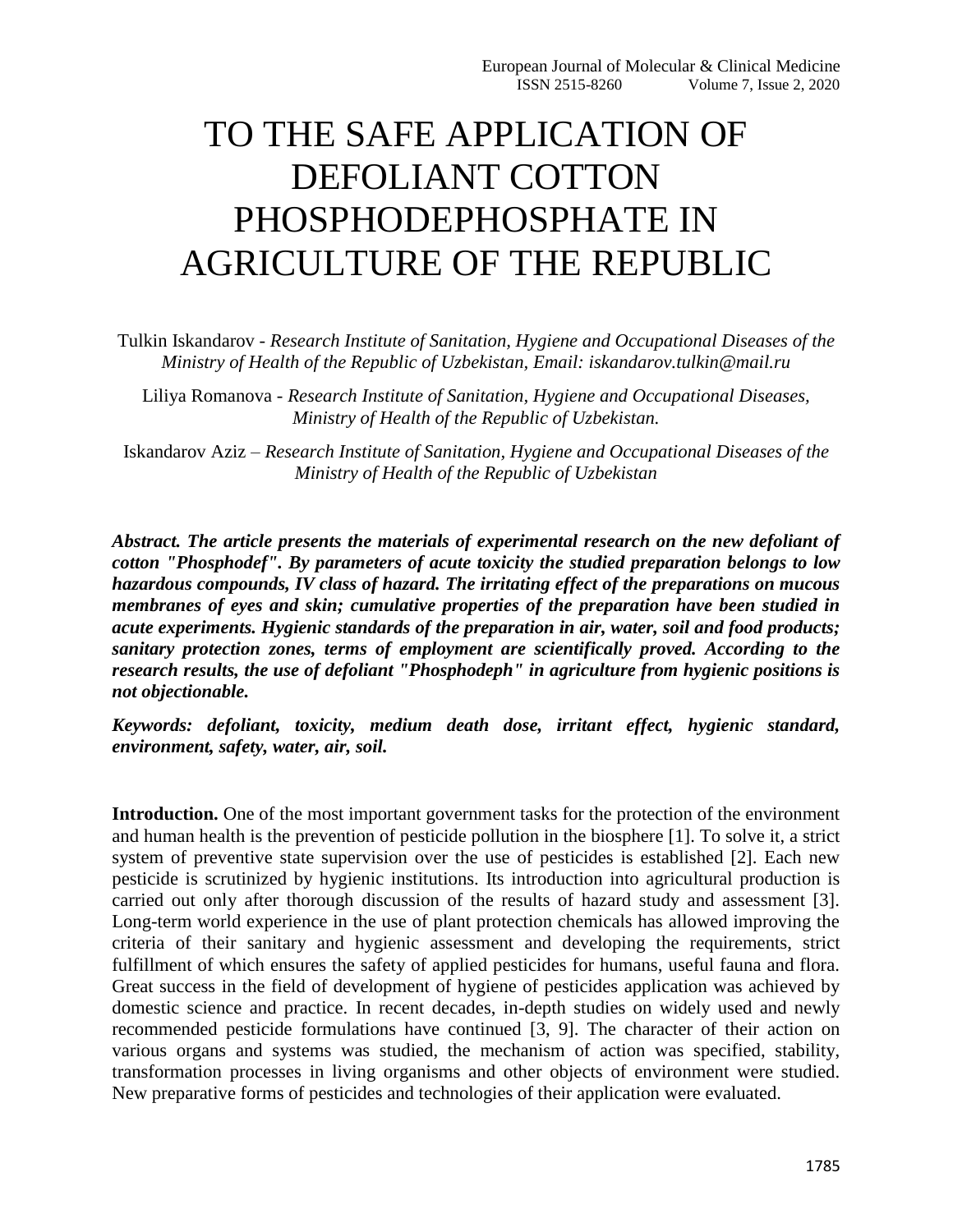## TO THE SAFE APPLICATION OF DEFOLIANT COTTON PHOSPHODEPHOSPHATE IN AGRICULTURE OF THE REPUBLIC

Tulkin Iskandarov - *Research Institute of Sanitation, Hygiene and Occupational Diseases of the Ministry of Health of the Republic of Uzbekistan, Email: iskandarov.tulkin@mail.ru*

Liliya Romanova - *Research Institute of Sanitation, Hygiene and Occupational Diseases, Ministry of Health of the Republic of Uzbekistan.*

Iskandarov Aziz – *Research Institute of Sanitation, Hygiene and Occupational Diseases of the Ministry of Health of the Republic of Uzbekistan*

*Abstract. The article presents the materials of experimental research on the new defoliant of cotton "Phosphodef". By parameters of acute toxicity the studied preparation belongs to low hazardous compounds, IV class of hazard. The irritating effect of the preparations on mucous membranes of eyes and skin; cumulative properties of the preparation have been studied in acute experiments. Hygienic standards of the preparation in air, water, soil and food products; sanitary protection zones, terms of employment are scientifically proved. According to the research results, the use of defoliant "Phosphodeph" in agriculture from hygienic positions is not objectionable.* 

*Keywords: defoliant, toxicity, medium death dose, irritant effect, hygienic standard, environment, safety, water, air, soil.*

**Introduction.** One of the most important government tasks for the protection of the environment and human health is the prevention of pesticide pollution in the biosphere [1]. To solve it, a strict system of preventive state supervision over the use of pesticides is established [2]. Each new pesticide is scrutinized by hygienic institutions. Its introduction into agricultural production is carried out only after thorough discussion of the results of hazard study and assessment [3]. Long-term world experience in the use of plant protection chemicals has allowed improving the criteria of their sanitary and hygienic assessment and developing the requirements, strict fulfillment of which ensures the safety of applied pesticides for humans, useful fauna and flora. Great success in the field of development of hygiene of pesticides application was achieved by domestic science and practice. In recent decades, in-depth studies on widely used and newly recommended pesticide formulations have continued [3, 9]. The character of their action on various organs and systems was studied, the mechanism of action was specified, stability, transformation processes in living organisms and other objects of environment were studied. New preparative forms of pesticides and technologies of their application were evaluated.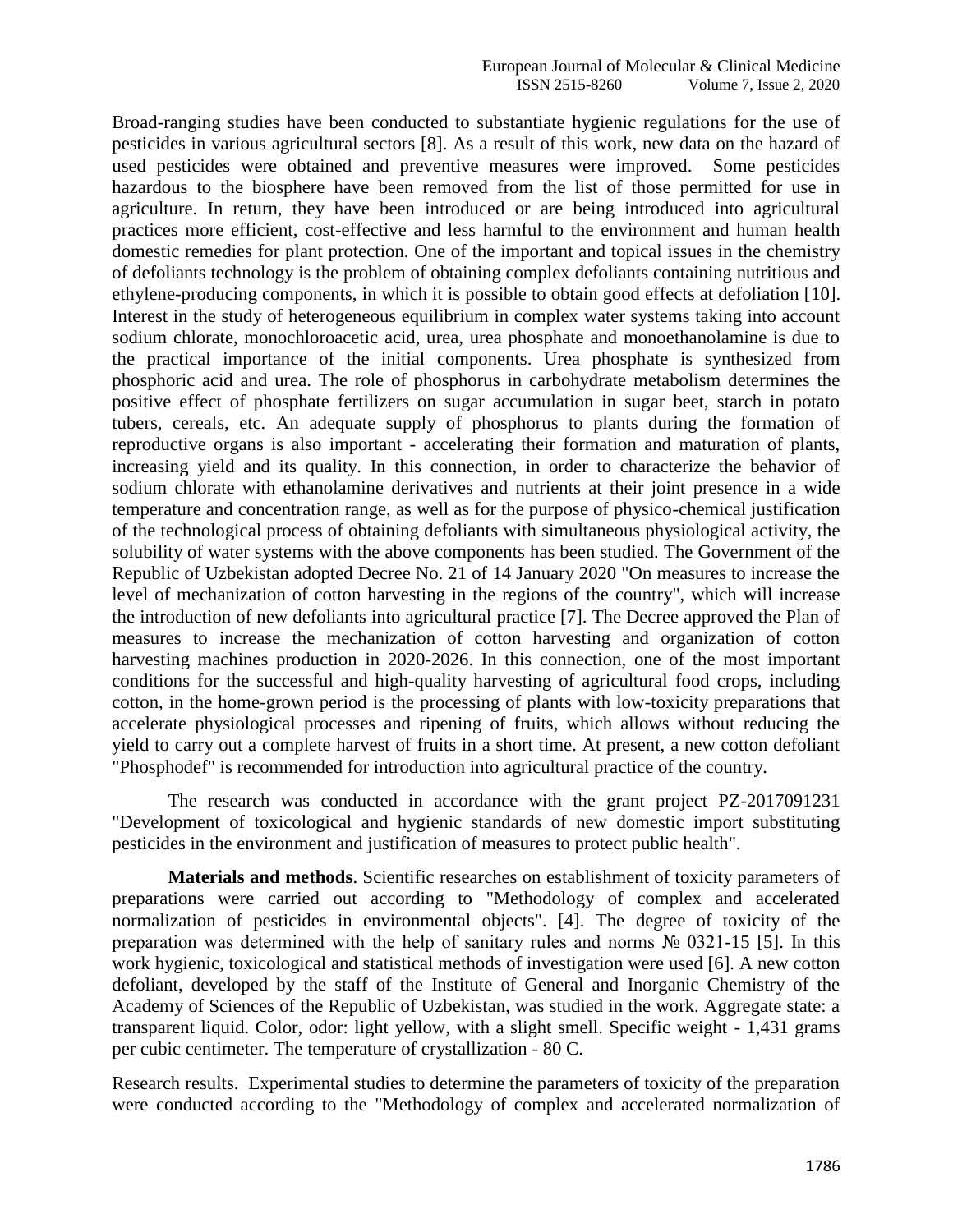Broad-ranging studies have been conducted to substantiate hygienic regulations for the use of pesticides in various agricultural sectors [8]. As a result of this work, new data on the hazard of used pesticides were obtained and preventive measures were improved. Some pesticides hazardous to the biosphere have been removed from the list of those permitted for use in agriculture. In return, they have been introduced or are being introduced into agricultural practices more efficient, cost-effective and less harmful to the environment and human health domestic remedies for plant protection. One of the important and topical issues in the chemistry of defoliants technology is the problem of obtaining complex defoliants containing nutritious and ethylene-producing components, in which it is possible to obtain good effects at defoliation [10]. Interest in the study of heterogeneous equilibrium in complex water systems taking into account sodium chlorate, monochloroacetic acid, urea, urea phosphate and monoethanolamine is due to the practical importance of the initial components. Urea phosphate is synthesized from phosphoric acid and urea. The role of phosphorus in carbohydrate metabolism determines the positive effect of phosphate fertilizers on sugar accumulation in sugar beet, starch in potato tubers, cereals, etc. An adequate supply of phosphorus to plants during the formation of reproductive organs is also important - accelerating their formation and maturation of plants, increasing yield and its quality. In this connection, in order to characterize the behavior of sodium chlorate with ethanolamine derivatives and nutrients at their joint presence in a wide temperature and concentration range, as well as for the purpose of physico-chemical justification of the technological process of obtaining defoliants with simultaneous physiological activity, the solubility of water systems with the above components has been studied. The Government of the Republic of Uzbekistan adopted Decree No. 21 of 14 January 2020 "On measures to increase the level of mechanization of cotton harvesting in the regions of the country", which will increase the introduction of new defoliants into agricultural practice [7]. The Decree approved the Plan of measures to increase the mechanization of cotton harvesting and organization of cotton harvesting machines production in 2020-2026. In this connection, one of the most important conditions for the successful and high-quality harvesting of agricultural food crops, including cotton, in the home-grown period is the processing of plants with low-toxicity preparations that accelerate physiological processes and ripening of fruits, which allows without reducing the yield to carry out a complete harvest of fruits in a short time. At present, a new cotton defoliant "Phosphodef" is recommended for introduction into agricultural practice of the country.

The research was conducted in accordance with the grant project PZ-2017091231 "Development of toxicological and hygienic standards of new domestic import substituting pesticides in the environment and justification of measures to protect public health".

**Materials and methods**. Scientific researches on establishment of toxicity parameters of preparations were carried out according to "Methodology of complex and accelerated normalization of pesticides in environmental objects". [4]. The degree of toxicity of the preparation was determined with the help of sanitary rules and norms № 0321-15 [5]. In this work hygienic, toxicological and statistical methods of investigation were used [6]. A new cotton defoliant, developed by the staff of the Institute of General and Inorganic Chemistry of the Academy of Sciences of the Republic of Uzbekistan, was studied in the work. Aggregate state: a transparent liquid. Color, odor: light yellow, with a slight smell. Specific weight - 1,431 grams per cubic centimeter. The temperature of crystallization - 80 C.

Research results. Experimental studies to determine the parameters of toxicity of the preparation were conducted according to the "Methodology of complex and accelerated normalization of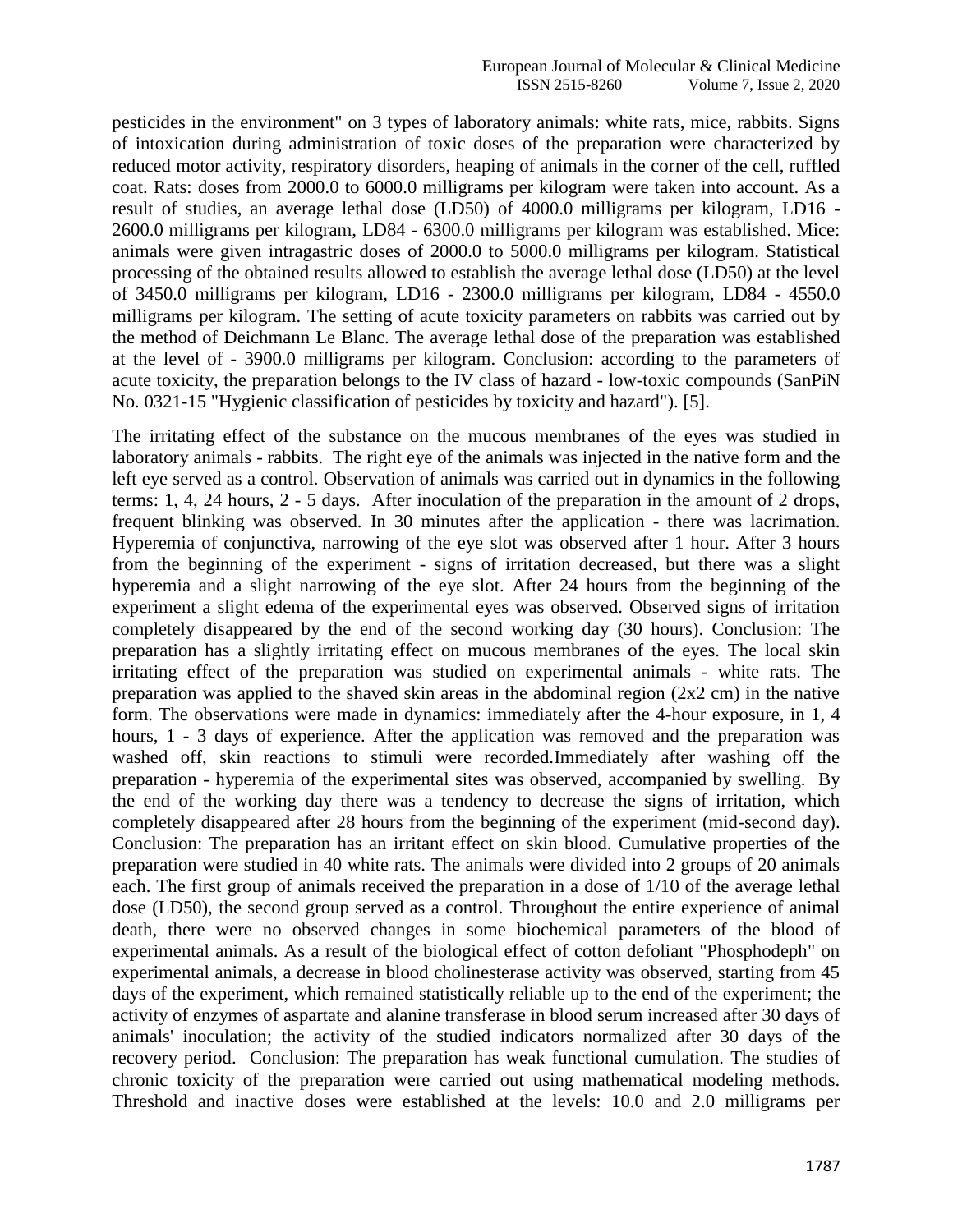pesticides in the environment" on 3 types of laboratory animals: white rats, mice, rabbits. Signs of intoxication during administration of toxic doses of the preparation were characterized by reduced motor activity, respiratory disorders, heaping of animals in the corner of the cell, ruffled coat. Rats: doses from 2000.0 to 6000.0 milligrams per kilogram were taken into account. As a result of studies, an average lethal dose (LD50) of 4000.0 milligrams per kilogram, LD16 - 2600.0 milligrams per kilogram, LD84 - 6300.0 milligrams per kilogram was established. Mice: animals were given intragastric doses of 2000.0 to 5000.0 milligrams per kilogram. Statistical processing of the obtained results allowed to establish the average lethal dose (LD50) at the level of 3450.0 milligrams per kilogram, LD16 - 2300.0 milligrams per kilogram, LD84 - 4550.0 milligrams per kilogram. The setting of acute toxicity parameters on rabbits was carried out by the method of Deichmann Le Blanc. The average lethal dose of the preparation was established at the level of - 3900.0 milligrams per kilogram. Conclusion: according to the parameters of acute toxicity, the preparation belongs to the IV class of hazard - low-toxic compounds (SanPiN No. 0321-15 "Hygienic classification of pesticides by toxicity and hazard"). [5].

The irritating effect of the substance on the mucous membranes of the eyes was studied in laboratory animals - rabbits. The right eye of the animals was injected in the native form and the left eye served as a control. Observation of animals was carried out in dynamics in the following terms: 1, 4, 24 hours, 2 - 5 days. After inoculation of the preparation in the amount of 2 drops, frequent blinking was observed. In 30 minutes after the application - there was lacrimation. Hyperemia of conjunctiva, narrowing of the eye slot was observed after 1 hour. After 3 hours from the beginning of the experiment - signs of irritation decreased, but there was a slight hyperemia and a slight narrowing of the eye slot. After 24 hours from the beginning of the experiment a slight edema of the experimental eyes was observed. Observed signs of irritation completely disappeared by the end of the second working day (30 hours). Conclusion: The preparation has a slightly irritating effect on mucous membranes of the eyes. The local skin irritating effect of the preparation was studied on experimental animals - white rats. The preparation was applied to the shaved skin areas in the abdominal region (2x2 cm) in the native form. The observations were made in dynamics: immediately after the 4-hour exposure, in 1, 4 hours, 1 - 3 days of experience. After the application was removed and the preparation was washed off, skin reactions to stimuli were recorded.Immediately after washing off the preparation - hyperemia of the experimental sites was observed, accompanied by swelling. By the end of the working day there was a tendency to decrease the signs of irritation, which completely disappeared after 28 hours from the beginning of the experiment (mid-second day). Conclusion: The preparation has an irritant effect on skin blood. Cumulative properties of the preparation were studied in 40 white rats. The animals were divided into 2 groups of 20 animals each. The first group of animals received the preparation in a dose of 1/10 of the average lethal dose (LD50), the second group served as a control. Throughout the entire experience of animal death, there were no observed changes in some biochemical parameters of the blood of experimental animals. As a result of the biological effect of cotton defoliant "Phosphodeph" on experimental animals, a decrease in blood cholinesterase activity was observed, starting from 45 days of the experiment, which remained statistically reliable up to the end of the experiment; the activity of enzymes of aspartate and alanine transferase in blood serum increased after 30 days of animals' inoculation; the activity of the studied indicators normalized after 30 days of the recovery period. Conclusion: The preparation has weak functional cumulation. The studies of chronic toxicity of the preparation were carried out using mathematical modeling methods. Threshold and inactive doses were established at the levels: 10.0 and 2.0 milligrams per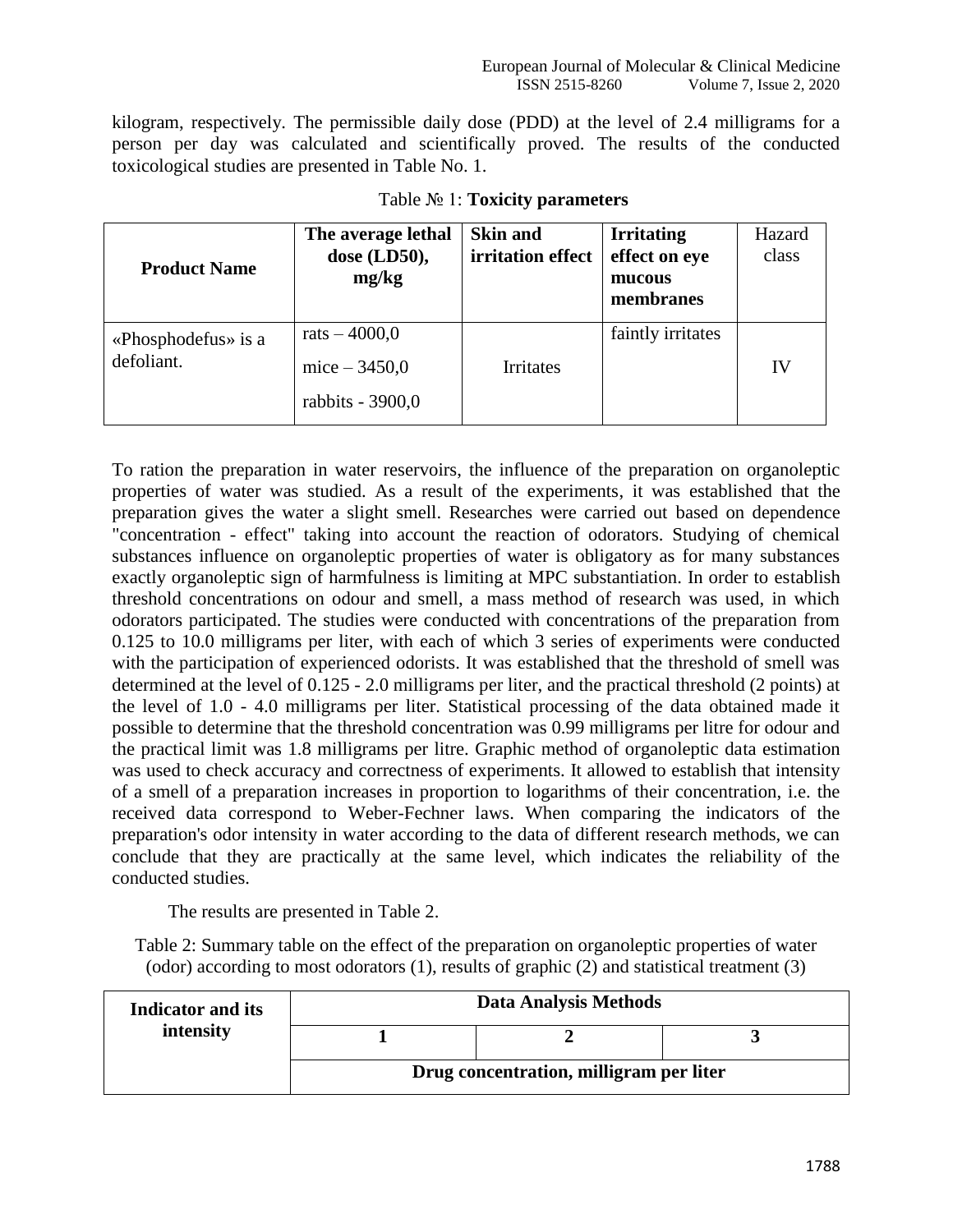kilogram, respectively. The permissible daily dose (PDD) at the level of 2.4 milligrams for a person per day was calculated and scientifically proved. The results of the conducted toxicological studies are presented in Table No. 1.

| <b>Product Name</b>               | The average lethal<br>dose $(LD50)$ ,<br>mg/kg       | <b>Skin and</b><br>irritation effect | <b>Irritating</b><br>effect on eye<br>mucous<br>membranes | Hazard<br>class |
|-----------------------------------|------------------------------------------------------|--------------------------------------|-----------------------------------------------------------|-----------------|
| «Phosphodefus» is a<br>defoliant. | rats $-4000,0$<br>mice $-3450,0$<br>rabbits - 3900,0 | Irritates                            | faintly irritates                                         | IV              |

Table № 1: **Toxicity parameters**

To ration the preparation in water reservoirs, the influence of the preparation on organoleptic properties of water was studied. As a result of the experiments, it was established that the preparation gives the water a slight smell. Researches were carried out based on dependence "concentration - effect" taking into account the reaction of odorators. Studying of chemical substances influence on organoleptic properties of water is obligatory as for many substances exactly organoleptic sign of harmfulness is limiting at MPC substantiation. In order to establish threshold concentrations on odour and smell, a mass method of research was used, in which odorators participated. The studies were conducted with concentrations of the preparation from 0.125 to 10.0 milligrams per liter, with each of which 3 series of experiments were conducted with the participation of experienced odorists. It was established that the threshold of smell was determined at the level of 0.125 - 2.0 milligrams per liter, and the practical threshold (2 points) at the level of 1.0 - 4.0 milligrams per liter. Statistical processing of the data obtained made it possible to determine that the threshold concentration was 0.99 milligrams per litre for odour and the practical limit was 1.8 milligrams per litre. Graphic method of organoleptic data estimation was used to check accuracy and correctness of experiments. It allowed to establish that intensity of a smell of a preparation increases in proportion to logarithms of their concentration, i.e. the received data correspond to Weber-Fechner laws. When comparing the indicators of the preparation's odor intensity in water according to the data of different research methods, we can conclude that they are practically at the same level, which indicates the reliability of the conducted studies.

The results are presented in Table 2.

Table 2: Summary table on the effect of the preparation on organoleptic properties of water (odor) according to most odorators (1), results of graphic (2) and statistical treatment (3)

| <b>Indicator and its</b> | <b>Data Analysis Methods</b>            |  |  |
|--------------------------|-----------------------------------------|--|--|
| intensity                |                                         |  |  |
|                          | Drug concentration, milligram per liter |  |  |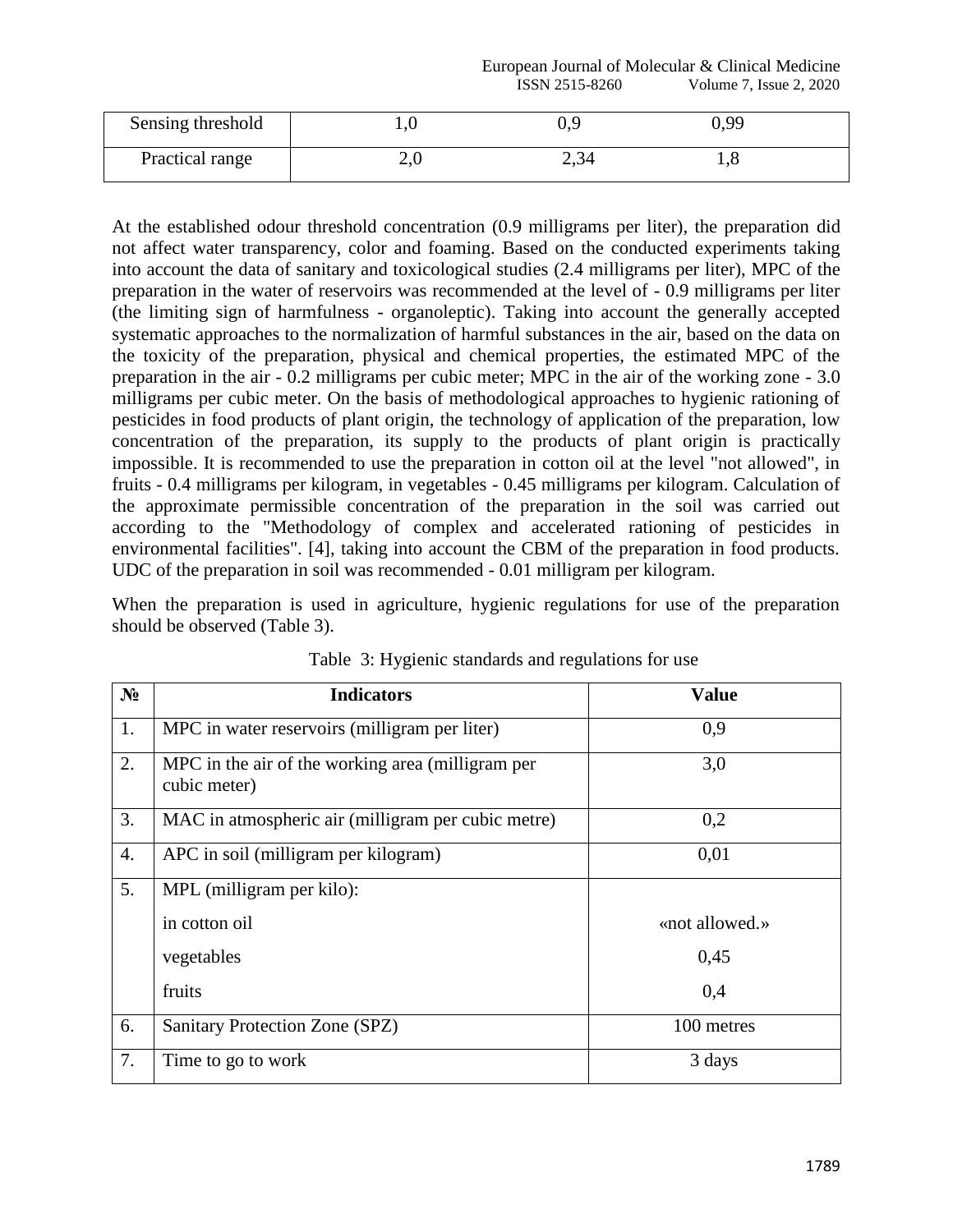## European Journal of Molecular & Clinical Medicine<br>ISSN 2515-8260 Volume 7, Issue 2, 2020 Volume 7, Issue 2, 2020

| Sensing threshold | ⊥.∪ |      | 0.99 |  |
|-------------------|-----|------|------|--|
| Practical range   | ∠,∪ | 2,34 | 1,0  |  |

At the established odour threshold concentration (0.9 milligrams per liter), the preparation did not affect water transparency, color and foaming. Based on the conducted experiments taking into account the data of sanitary and toxicological studies (2.4 milligrams per liter), MPC of the preparation in the water of reservoirs was recommended at the level of - 0.9 milligrams per liter (the limiting sign of harmfulness - organoleptic). Taking into account the generally accepted systematic approaches to the normalization of harmful substances in the air, based on the data on the toxicity of the preparation, physical and chemical properties, the estimated MPC of the preparation in the air - 0.2 milligrams per cubic meter; MPC in the air of the working zone - 3.0 milligrams per cubic meter. On the basis of methodological approaches to hygienic rationing of pesticides in food products of plant origin, the technology of application of the preparation, low concentration of the preparation, its supply to the products of plant origin is practically impossible. It is recommended to use the preparation in cotton oil at the level "not allowed", in fruits - 0.4 milligrams per kilogram, in vegetables - 0.45 milligrams per kilogram. Calculation of the approximate permissible concentration of the preparation in the soil was carried out according to the "Methodology of complex and accelerated rationing of pesticides in environmental facilities". [4], taking into account the CBM of the preparation in food products. UDC of the preparation in soil was recommended - 0.01 milligram per kilogram.

When the preparation is used in agriculture, hygienic regulations for use of the preparation should be observed (Table 3).

| $N_2$ | <b>Indicators</b>                                                 | <b>Value</b>   |
|-------|-------------------------------------------------------------------|----------------|
| 1.    | MPC in water reservoirs (milligram per liter)                     | 0,9            |
| 2.    | MPC in the air of the working area (milligram per<br>cubic meter) | 3,0            |
| 3.    | MAC in atmospheric air (milligram per cubic metre)                | 0,2            |
| 4.    | APC in soil (milligram per kilogram)                              | 0,01           |
| 5.    | MPL (milligram per kilo):                                         |                |
|       | in cotton oil                                                     | «not allowed.» |
|       | vegetables                                                        | 0,45           |
|       | fruits                                                            | 0,4            |
| 6.    | Sanitary Protection Zone (SPZ)                                    | 100 metres     |
| 7.    | Time to go to work                                                | 3 days         |

Table 3: Hygienic standards and regulations for use